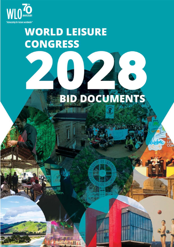

# **WORLD LEISURE CONGRESS**

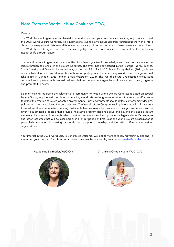# Note From the World Leisure Chair and COO,

### Greetings,

The World Leisure Organization is pleased to extend to you and your community an exciting opportunity to host the 2028 World Leisure Congress. This international event draws individuals from throughout the world into a dynamic scenery wherein leisure and its influence on social, cultural and economic development can be explored. The World Leisure Congress is an event that can highlight an entire community and its commitment to enhancing quality of life through leisure.

The World Leisure Organization is committed to advancing scientific knowledge and best practice related to leisure through its biennial World Leisure Congress. The event has been staged in Asia, Europe, North America, South America and Oceania. Latest editions, in the city of Sao Paulo (2018) and Pinggu/Beijing (2021), this last one in a hybrid format, hosted more than a thousand participants). The upcoming World Leisure Congresses will take place in Dunedin (2023) and in Breda/Rotterdam (2025). The World Leisure Organization encourages communities to partner with professional associations, government agencies and universities to plan, organize and promote the event.

Decision-making regarding the selection of a community to host a World Leisure Congress is based on several factors. Strong emphasis will be placed on locating World Leisure Congresses in settings that reflect and/or desire to reflect the creation of leisure-oriented environments. Such environments should reflect contemporary designs, policies and programs illustrating best practices. The World Leisure Congress seeks placement in locals that wish to transform their communities, creating sustainable leisure-oriented environments. Strong consideration will be given to submitted proposals that provide innovative program designs above and beyond the basic program elements. Proposals will be sought which provide clear evidence of incorporation of legacy element´s programs and other resources that will be sustained over a longer period of time. Last, the World Leisure Organization is particularly interested in seeking proposals that support partnership activities with different and various organizations.

Your interest in the 2028 World Leisure Congress is welcome. We look forward to receiving your inquiries and, in the future, your proposal for this important event. We may be reached by email at secretariat@worldleisure.org



Ms. Joanne Schroeder, WLO Chair Dr. Cristina Ortega Nuere, WLO COO



3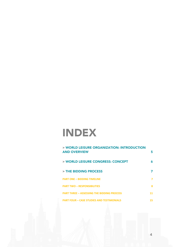# INDEX

| > WORLD LEISURE ORGANIZATION: INTRODUCTION<br><b>AND OVERVIEW</b> | 5  |
|-------------------------------------------------------------------|----|
| > WORLD LEISURE CONGRESS: CONCEPT                                 | 6  |
| > THE BIDDING PROCESS                                             | 7  |
| <b>PART ONE - BIDDING TIMELINE</b>                                | 7  |
| <b>PART TWO - RESPONSIBILITIES</b>                                | 8  |
| <b>PART THREE - ASSESSING THE BIDDING PROCESS</b>                 | 11 |
| <b>PART FOUR - CASE STUDIES AND TESTIMONIALS</b>                  | 15 |

4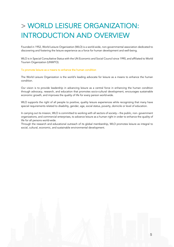# > WORLD LEISURE ORGANIZATION: INTRODUCTION AND OVERVIEW

Founded in 1952, World Leisure Organization (WLO) is a world-wide, non-governmental association dedicated to discovering and fostering the leisure experience as a force for human development and well-being.

WLO is in Special Consultative Status with the UN Economic and Social Council since 1990, and affiliated to World Tourism Organization (UNWTO).

#### To promote leisure as a means to enhance the human condition

The World Leisure Organization is the world's leading advocate for leisure as a means to enhance the human condition.

Our vision is to provide leadership in advancing leisure as a central force in enhancing the human condition through advocacy, research, and education that promotes socio-cultural development, encourages sustainable economic growth, and improves the quality of life for every person world-wide.

WLO supports the right of all people to positive, quality leisure experiences while recognizing that many have special requirements related to disability, gender, age, social status, poverty, domicile or level of education.

In carrying out its mission, WLO is committed to working with all sectors of society – the public, non- government organizations, and commercial enterprises, to advance leisure as a human right in order to enhance the quality of life for all persons world-wide.

Through the research and educational outreach of its global membership, WLO promotes leisure as integral to social, cultural, economic, and sustainable environmental development.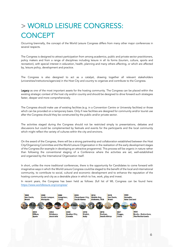# > WORLD LEISURE CONGRESS: **CONCEPT**

Occurring biennially, the concept of the World Leisure Congress differs from many other major conferences in several respects.

The Congress is designed to attract participation from among academics, public and private sector practitioners, policy makers and from a range of disciplines including leisure in all its forms (tourism, culture, sports and recreation), with special interest in education, health, planning and many others affecting, or which are affected by, leisure policy, development and practice.

The Congress is also designed to act as a catalyst, drawing together all relevant stakeholders (universities/institutions/agencies) in the Host City and country to organize and contribute to the Congress.

Legacy as one of the most important assets for the hosting community. The Congress can be placed within the existing strategic context of the host city and/or country and should be designed to drive forward such strategies faster, deeper and more comprehensively.

The Congress should make use of existing facilities (e.g. in a Convention Centre or University facilities) or those which can be provided on a temporary basis. Only if new facilities are designed for community and/or tourist use after the Congress should they be constructed by the public and/or private sector.

The activities staged during the Congress should not be restricted simply to presentations, debates and discussions but could be complemented by festivals and events for the participants and the local community which might reflect the variety of cultures within the city and environs.

On the award of the Congress, there will be a strong partnership and collaboration established between the Host City/Organizing Committee and the World Leisure Organization in the realization of the early development stages of the Congress (for example in developing an attractive programme). This process will be organic in nature rather than following the conventional staging of a Conference where the activities are set, well-established and organized by the International Organization itself.

In short, unlike the more traditional conferences, there is the opportunity for Candidates to come forward with imaginative ways in which the World Leisure Congress could be staged to the benefit of the local and international community, to contribute to social, cultural and economic development and to enhance the reputation of the hosting community and city as a desirable place in which to live, work, play and invest.

In recent years, the Congress has been held as follows: (full list of WL Congress can be found here: https://www.worldleisure.org/congress/

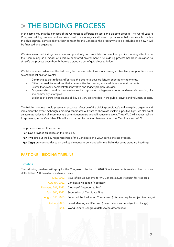# In the same way that the concept of the Congress is different, so too is the bidding process. The World Leisure

Congress bidding process has been structured to encourage candidates to propose in their own way, but within the philosophical context above, their concept for the Congress, the programme to be included and how it will be financed and organized.

We view even the bidding process as an opportunity for candidates to raise their profile, drawing attention to their community as a model of a leisure-orientated environment. Our bidding process has been designed to simplify the process even though there is a standard set of guidelines to follow.

We take into consideration the following factors (consistent with our strategic objectives) as priorities when selecting locations for events:

- Communities that reflect and/or have the desire to develop leisure-oriented environments.
- Cities that seek to transform their communities by creating sustainable leisure environments
- Events that clearly demonstrate innovative and legacy program designs.
- Programs which provide clear evidence of incorporation of legacy elements consistent with existing city and community strategies.
- Evidence of partnerships among all key delivery stakeholders in the public, private and voluntary sectors.

The bidding process should present an accurate reflection of the bidding-candidate's ability to plan, organize and implement the event. Although a bidding candidates will want to showcase itself in a positive light, we also want an accurate reflection of a community's commitment to stage and finance the event. Thus, WLO will expect realism in approach, as the Candidate File will form part of the contract between the Host Candidate and WLO.

The process involves three sections:

- Part One provides guidance on the timeline.
- Part Two sets out the key responsibilities of the Candidate and WLO during the Bid Process.
- Part Three provides guidance on the key elements to be included in the Bid under some standard headings.

# PART ONE – BIDDING TIMELINE

# **Timeline**

The following timelines will apply for the Congress to be held in 2028. Specific elements are described in more detail below: \* All these dates are subject to change

|             | May, 2022   Issue of Bid Documents for WL Congress 2026 (Request for Proposal)                  |
|-------------|-------------------------------------------------------------------------------------------------|
|             | Autumn, 2022   Candidate Meeting (if necessary)                                                 |
|             | February, 28th, 2023   Closing of "Intention to Bid"                                            |
|             | April 30 <sup>th</sup> , 2023   Submission of Candidate Files                                   |
|             | August $31st$ . 2023   Report of the Evaluation Commission (this date may be subject to change) |
| Autumn 2023 | Board Meeting and Decision (these dates may be subject to change)                               |
| 2028        | World Leisure Congress (dates to be determined)                                                 |
|             |                                                                                                 |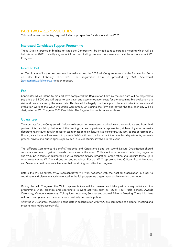# PART TWO – RESPONSIBILITIES

This section sets out the key responsibilities of prospective Candidate and the WLO.

# Interested Candidates Support Programme

Those Cities interested in bidding to stage the Congress will be invited to take part in a meeting which will be held Autumn 2022 to clarify any aspect from the bidding process, documentation and learn more about WL Congress.

#### Intent to Bid

All Candidates willing to be considered formally to host the 2028 WL Congress must sign the Registration Form no later than February 28<sup>th</sup>, 2023. The Registration Form is provided by WLO Secretariat (secretariat@worldleisure.org) upon request.

# Fee

Candidates which intend to bid and have completed the Registration Form by the due date will be required to pay a fee of \$4,000 and will agree to pay travel and accommodation costs for the upcoming bid evaluation site visit and process, also by the same date. This fee will be largely used to support the administration process and evaluation work of the WLO Evaluation Committee. On signing the form and paying the fee, each city will be designated as WL Congress 2028 Candidate. The Registration fee is non-refundable.

# **Guarantees**

The contract for the Congress will include references to guarantees required from the candidate and from third parties. It is mandatory that one of the leading parties or partners is represented, at least, by one university department, institute, faculty, research team or academic in leisure studies (culture, tourism, sports or recreation). Hosting candidate will endeavor to provide WLO with information about the faculties, departments, research groups, private and public agents specialized in leisure studies involved in the event.

The different Committees (Scientific/Academic and Operational) and the World Leisure Organization should cooperate and work together towards the success of the event. Collaboration in between the hosting organizer and WLO be in terms of guaranteeing WLO scientific activity integration, organization and logistics follow up in order to guarantee WLO brand position and standards. For that WLO representatives (Officers, Board Members and Secretariat) will have an active role, before, during and after the congress.

Before the WL Congress, WLO representatives will work together with the hosting organization in order to coordinate and plan every activity related to the full programme organization and marketing promotion.

During the WL Congress, the WLO representatives will be present and take part in every activity of the programme. Also, organize and coordinate relevant activities such as: Study Tour, Field School, Awards Ceremony, Member´s Assembly, Colloquiums, Academy Seminar and Journal Editorial Meeting. These initiatives will boost and guarantee the international visibility and participation.

After the WL Congress, the hosting candidate in collaboration with WLO are committed to a debrief meeting and presenting a report accordingly.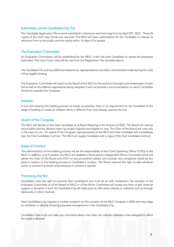# Submission of the Candidate City File

The Candidate Application File must be submitted in electronic and hard copy form by April 30<sup>th</sup>, 2023. Three (3) copies of the hard copy format are required. The WLO will issue authorization for the Candidate to release its electronic form to the public and the media within 14 days of its receipt.

# The Evaluation Committee

An Evaluation Commission will be established by the WLO. It will visit each Candidate to assess the proposals submitted. The cost of such visits will be met from the Registration Fee recorded above.

The Candidate File and any additional statements, representations and other commitments made during the visits will be legally binding.

The Evaluation Committee will report to the Board of the WLO on the technical strengths and weaknesses of each bid as well as the different approaches being adopted. It will not provide a recommendation on which Candidate should be awarded the Congress.

# Emblem

In line with keeping the bidding process as simple as possible, there is no requirement for the Candidate at the stage of bidding to create an emblem which is different from that already used by the City.

#### Award of the Congress

The WLO will decide on the Host Candidate at its Board Meeting in the Autumn of 2023. The Board will vote by secret ballot and the decision taken by simple majority and eligible to vote. The Chair of the Board will vote only in the case of a tie. On award of the Congress, representatives of the WLO and Host Candidate will immediately sign the Host Candidate Contract. The WLO will supply Candidate with a copy of the Host Candidate Contract.

# Rules of Conduct

The administration of the bidding process will be the responsibility of the Chief Operating Officer (COO) of the WLO. In addition, and if needed, the WLO will establish a three person independent Ethics Committee which will advise the Chair of the Board and COO on any procedural matters and consider any complaints raised by any party in relation to the bidding process or Candidate´s conduct. The Board reserves the right to take whatever action is merited if a breach of procedures or conduct is upheld.

# Promoting the Bid

Candidates have the right to promote their candidature but must do so with moderation. No member of the Evaluation Committee or of the Board of WLO or of the Ethics Committee will accept any form of gift, financial support or donation in kind. No Candidate City will make such an offer either directly or indirectly such as through diplomatic or other channels.

Host Candidates may organize a modest reception on the occasion of the WLO Congress in 2026 and may stage an exhibition or display showing proposed arrangements in the Candidate City.

Candidate Cities must not make any comments about rival cities. No collusion between cities designed to affect the result is allowed.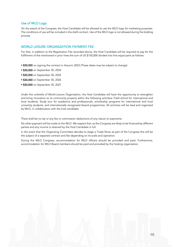# Use of WLO Logo

On the award of the Congress, the Host Candidate will be allowed to use the WLO logo for marketing purposes. The conditions of use will be included in the draft contract. Use of the WLO logo is not allowed during the bidding process.

# WORLD LEISURE ORGANIZATION PAYMENT FEE

For that, in addition to the Registration Fee recorded above, the Host Candidate will be required to pay for the fulfillment of the mentioned in prior lines the sum of US \$150,000 divided into five equal parts as follows:

- \$30,000 on signing the contract in Autumn 2023 (These dates may be subject to change)
- \$30,000 on September 30, 2024
- \$30,000 on September 30, 2025
- \$30,000 on September 30, 2026
- \$30,000 on September 30, 2027

Under the umbrella of World Leisure Organization, the Host Candidate will have the opportunity to strengthen and bring innovation to its community projects within the following activities; Field school for international and local students, Study tour for academics and professionals, scholarship programs for international and local university students, and internationally recognized Award programmes. All activities will be lead and organized by WLO, in collaboration with the host candidate.

There shall be no tax or any fee or commission deductions of any nature on payments.

No other payment will be made to the WLO. We respect that, as the Congress are likely to be financed by different parties and any income is retained by the Host Candidate in full.

In the event that the Organizing Committee decides to stage a Trade Show as part of the Congress this will be the subject of a separate contract and fee depending on its scale and operation.

During the WLO Congress, accommodation for WLO officers should be provided and paid. Furthermore, accommodation for WLO Board members should be paid and provided by the hosting organization.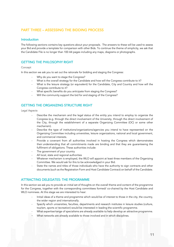# PART THREE – ASSESSING THE BIDDING PROCESS

# **Introduction**

The following sections contains key questions about your proposals. The answers to these will be used to assess your Bid and provide a template for comparison with other Bids. To continue the theme of simplicity, we ask that the Candidate File is no longer than 100 A4 pages including any maps, diagrams or photographs.

# GETTING THE PHILOSOPHY RIGHT

#### Concept

In this section we ask you to set out the rationale for bidding and staging the Congress:

- Why do you want to stage the Congress?
- What is the overall strategy for the Candidate and how will the Congress contribute to it?
- What is the leisure strategy (or equivalent) for the Candidate, City and Country and how will the Congress contribute to it?
- What specific benefits do you anticipate from staging the Congress?
- Will the community support the bid for and staging of the Congress?

# GETTING THE ORGANIZING STRUCTURE RIGHT

Legal Aspects

- Describe the mechanism and the legal status of the entity you intend to employ to organize the Congress (e.g. through the direct involvement of the University, through the direct involvement of the City, through the establishment of a separate Organizing Committee (OC) or some other mechanism).
- Describe the type of institutions/organizations/agencies you intend to have represented on the Organizing Committee including universities, leisure organizations, national and local government, and commercial interests.
- Provide a covenant from all authorities involved in hosting the Congress which demonstrates their understanding that all commitments made are binding and that they are guaranteeing the fulfilment of obligations. These authorities include:
- The government of your country
- All local, state and regional authorities
- Whatever mechanism is employed, the WLO will appoint at least three members of the Organizing Committee. We would ask for this to be acknowledged in your Bid.
- State the names and titles of those individuals who have the authority to sign contracts and other documents (such as the Registration Form and Host Candidate Contract) on behalf of the Candidate.

# ATTRACTING DELEGATES: THE PROGRAMME

In this section we ask you to provide an initial set of thoughts on the overall theme and content of the programme for the Congress, together with the corresponding committees formed/ co-chaired by the Host Candidate and WLO nominees. At this stage we are interested to hear:

- Initial ideas of a theme and programme which would be of interest to those in the city, the country, the wider region and internationally.
- Specify which universities, faculties, departments and research institutes in leisure studies (culture, tourism, sports or recreation) would be interested in leading the scientific programme.
- What expertise/range of specialisms are already available to help develop an attractive programme.
- What networks are already available to those involved and in which disciplines.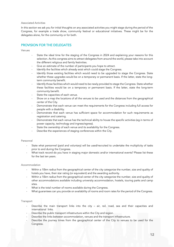#### Associated Activities

In this section we ask you for initial thoughts on any associated activities you might stage during the period of the Congress, for example a trade show, community festival or educational initiatives. These might be for the delegates alone, for the community or for both.

# PROVISION FOR THE DELEGATES

#### Venues

- State the ideal time for the staging of the Congress in 2024 and explaining your reasons for this selection. As this congress aims to attract delegates from around the world, please take into account the different religious and family festivities.
- Give an estimate of the number of participants you hope to attract.
- Identify the facilities which already exist which could stage the Congress.
- Identify those existing facilities which would need to be upgraded to stage the Congress. State whether these upgrades would be on a temporary or permanent basis. If the latter, state the longterm community benefit.
- Identify those facilities which would need to be newly provided to stage the Congress. State whether these facilities would be on a temporary or permanent basis. If the latter, state the long-term community benefit.
- State the capacities of each venue.
- Show on a map the locations of all the venues to be used and the distances from the geographical center of the City.
- Demonstrate that each venue can meet the requirements for the Congress including full access for people with a disability.
- Demonstrate that each venue has sufficient space for accommodation for such requirements as registration and catering.
- Demonstrate that each venue has the technical ability to house the specific activities (eq in terms of power capacity, technology and ingress/egress).
- State the ownership of each venue and its availability for the Congress.
- Describe the experiences of staging conferences within the City.

#### Personnel

- State what personnel (paid and voluntary) will be used/recruited to undertake the multiplicity of tasks prior to and during the Congress.
- What track record do you have in staging major domestic and/or international events? Please list these for the last ten years.

#### Accommodation

- Within a 10km radius from the geographical center of the city categorize the number, size and quality of hotels you have, their star rating (or equivalent) and the awarding authority.
- Within a 10km radius from the geographical center of the city categorize the number, size and quality of other accommodations available including university accommodation, hostels, touring parks and camp sites.
- What is the total number of rooms available during the Congress.
- What guarantees can you provide on availability of rooms and room rates for the period of the Congress.

#### **Transport**

- Describe the main transport links into the city  $-$  air, rail, road, sea and their capacities and international links.
- Describe the public transport infrastructure within the City and region.
- Describe the links between accommodation, venues and the transport infrastructure.
- Describe the journey times from the geographical center of the City to venues to be used for the Congress.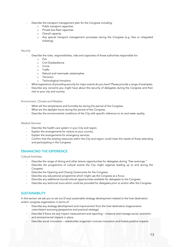- Describe the transport management plan for the Congress including:
	- o Public transport capacities
	- o Private bus fleet capacities
	- o Overall capacity
	- o Any special transport management processes during the Congress (e.g. free or integrated ticketing)

# Security

- Describe the roles, responsibilities, risks and capacities of those authorities responsible for:
	- o Fire
	- o Civil Disobedience
	- o Crime
	- o Traffic
	- o Natural and manmade catastrophes
	- o Terrorism
	- o Technological intrusions
- What experience of providing security for major events do you have? Please provide a range of examples.
- Describe any concerns you might have about the security of delegates during the Congress and their visit to your city and country.

Environment, Climate and Weather

- What will the temperature and humidity be during the period of the Congress.
- What are the daylight hours during the period of the Congress.
- Describe the environmental conditions of the City with specific reference to air and water quality.

#### Medical Services

- Describe the health care system in your City and region.
- Explain the arrangements for visitors to your country.
- Explain the arrangements for emergency services.
- Confirm that the existing resources within the City and region could meet the needs of those attending and participating in the Congress.

# ENHANCING THE EXPERIENCE

Cultural Activities

- Describe the range of dining and other leisure opportunities for delegates during "free evenings."
- Describe the programme of cultural events the City might organize leading up to and during the Congress.
- Describe the Opening and Closing Ceremonies for the Congress.
- Describe any educational programme which might use the Congress as a focus.
- Describe any additional tourist/cultural opportunities available for delegates to the Congress.
- Describe any technical tours which could be provided for delegates prior to and/or after the Congress.

# **SUSTAINABILITY**

In this section we ask you to set out (if any) sustainable strategy development related to the host destination and/or congress organization in terms of:

- Describe any strategy development and improvement from the host destination (regenerative visitor/event economy perspective and practical strategy).
- Describe if there are any impact measurement and reporting measure and manage social, economic and environmental impacts in place.
- Describe social innovation stakeholder engament nurtures innovation and fosters positive impacts.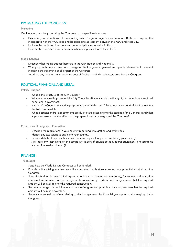# PROMOTING THE CONGRESS

#### Marketing

Outline your plans for promoting the Congress to prospective delegates.

- Describe your intentions of developing any Congress logo and/or mascot. Both will require the incorporation of the WLO logo and be subject to agreement between the WLO and Host City.
- Indicate the projected income from sponsorship in cash or value in kind.
- Indicate the projected income from merchandising in cash or value in kind.

#### Media Services

- Describe what media outlets there are in the City, Region and Nationally.
- What proposals do you have for coverage of the Congress in general and specific elements of the event including the streaming of all or part of the Congress.
- Are there any legal or tax issues in respect of foreign media/broadcasters covering the Congress.

# POLITICAL, FINANCIAL AND LEGAL

Political Support

- What is the structure of the City Council?
- What are the specific powers of the City Council and its relationship with any higher tiers of state, regional or national government?
- Has the City Council now and in perpetuity agreed to bid and fully accept its responsibilities in the event the bid is successful?
- What elections and/or appointments are due to take place prior to the staging of the Congress and what is your assessment of the effect on the preparations for or staging of the Congress?

Customs and Immigration Formalities

- Describe the regulations in your country regarding immigration and entry visas.
- Identify any exclusions to entries to your country.
- Provide details of any health and vaccinations required for persons entering your country.
- Are there any restrictions on the temporary import of equipment (eg. sports equipment, photographic and audio-visual equipment)?

# **FINANCE**

The Budget

- State how the World Leisure Congress will be funded.
- Provide a financial guarantee from the competent authorities covering any potential shortfall for the Congress.
- State the budget for any capital expenditure (both permanent and temporary, for venues and any other infrastructure) required for the Congress, its source and provide a financial guarantee that the required amount will be available for the required construction.
- Set out the budget for the full operation of the Congress and provide a financial guarantee that the required amount will be made available.
- Set out the annual cash-flow relating to this budget over the financial years prior to the staging of the Congress.